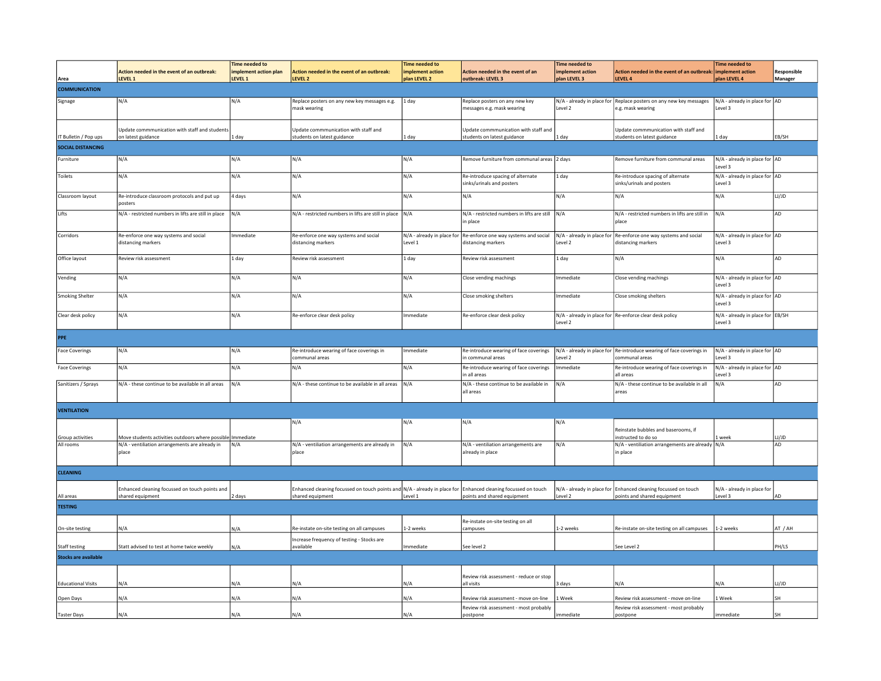| Area                        | Action needed in the event of an outbreak:<br>LEVEL 1               | <b>Time needed to</b><br>implement action plan<br>LEVEL 1 | Action needed in the event of an outbreak:<br>LEVEL 2                                                                             | <b>Time needed to</b><br>implement action<br>plan LEVEL 2 | Action needed in the event of an<br>outbreak: LEVEL 3               | <b>Time needed to</b><br>implement action<br>plan LEVEL 3 | Action needed in the event of an outbreak:<br>LEVEL 4                                         | <b>Time needed to</b><br>implement action<br>plan LEVEL 4 | Responsible<br>Manager |
|-----------------------------|---------------------------------------------------------------------|-----------------------------------------------------------|-----------------------------------------------------------------------------------------------------------------------------------|-----------------------------------------------------------|---------------------------------------------------------------------|-----------------------------------------------------------|-----------------------------------------------------------------------------------------------|-----------------------------------------------------------|------------------------|
| <b>COMMUNICATION</b>        |                                                                     |                                                           |                                                                                                                                   |                                                           |                                                                     |                                                           |                                                                                               |                                                           |                        |
| Signage                     | N/A                                                                 | N/A                                                       | Replace posters on any new key messages e.g.<br>mask wearing                                                                      | 1 day                                                     | Replace posters on any new key<br>nessages e.g. mask wearing        | Level 2                                                   | N/A - already in place for Replace posters on any new key messages<br>e.g. mask wearing       | N/A - already in place for AD<br>Level 3                  |                        |
| IT Bulletin / Pop ups       | Update commmunication with staff and students<br>on latest guidance | 1 day                                                     | Update commmunication with staff and<br>students on latest guidance                                                               | 1 day                                                     | Update commmunication with staff and<br>students on latest guidance | 1 day                                                     | Update commmunication with staff and<br>students on latest guidance                           | 1 day                                                     | EB/SH                  |
| <b>SOCIAL DISTANCING</b>    |                                                                     |                                                           |                                                                                                                                   |                                                           |                                                                     |                                                           |                                                                                               |                                                           |                        |
| Furniture                   | N/A                                                                 | N/A                                                       | N/A                                                                                                                               | N/A                                                       | Remove furniture from communal areas 2 days                         |                                                           | Remove furniture from communal areas                                                          | N/A - already in place for AD<br>Level 3                  |                        |
| Toilets                     | N/A                                                                 | N/A                                                       | N/A                                                                                                                               | N/A                                                       | Re-introduce spacing of alternate<br>sinks/urinals and posters      | 1 day                                                     | Re-introduce spacing of alternate<br>sinks/urinals and posters                                | N/A - already in place for AD<br>Level 3                  |                        |
| Classroom layout            | Re-introduce classroom protocols and put up<br>posters              | 4 days                                                    | N/A                                                                                                                               | N/A                                                       | N/A                                                                 | N/A                                                       | N/A                                                                                           | N/A                                                       | U/JD                   |
| Lifts                       | N/A - restricted numbers in lifts are still in place                | N/A                                                       | N/A - restricted numbers in lifts are still in place N/A                                                                          |                                                           | N/A - restricted numbers in lifts are still<br>n place              | N/A                                                       | N/A - restricted numbers in lifts are still in<br>place                                       | N/A                                                       | AD                     |
| Corridors                   | Re-enforce one way systems and social<br>distancing markers         | mmediate                                                  | Re-enforce one way systems and social<br>distancing markers                                                                       | N/A - already in place for<br>Level 1                     | Re-enforce one way systems and social<br>distancing markers         | N/A - already in place for<br>Level 2                     | Re-enforce one way systems and social<br>distancing markers                                   | N/A - already in place for AD<br>Level 3                  |                        |
| Office layout               | Review risk assessment                                              | 1 day                                                     | Review risk assessment                                                                                                            | $1$ day                                                   | Review risk assessment                                              | 1 day                                                     | N/A                                                                                           | N/A                                                       | AD                     |
| Vending                     | N/A                                                                 | N/A                                                       | N/A                                                                                                                               | N/A                                                       | Close vending machings                                              | Immediate                                                 | Close vending machings                                                                        | N/A - already in place for AD<br>Level 3                  |                        |
| <b>Smoking Shelter</b>      | N/A                                                                 | N/A                                                       | N/A                                                                                                                               | N/A                                                       | Close smoking shelters                                              | Immediate                                                 | Close smoking shelters                                                                        | N/A - already in place for AD<br>Level 3                  |                        |
| Clear desk policy           | N/A                                                                 | N/A                                                       | Re-enforce clear desk policy                                                                                                      | Immediate                                                 | Re-enforce clear desk policy                                        | Level 2                                                   | N/A - already in place for Re-enforce clear desk policy                                       | N/A - already in place for EB/SH<br>Level 3               |                        |
| PPE                         |                                                                     |                                                           |                                                                                                                                   |                                                           |                                                                     |                                                           |                                                                                               |                                                           |                        |
| <b>Face Coverings</b>       | N/A                                                                 | N/A                                                       | Re-introduce wearing of face coverings in<br>communal areas                                                                       | Immediate                                                 | Re-introduce wearing of face coverings<br>in communal areas         | Level 2                                                   | N/A - already in place for Re-introduce wearing of face coverings in<br>communal areas        | N/A - already in place for AD<br>Level 3                  |                        |
| <b>Face Coverings</b>       | N/A                                                                 | N/A                                                       | N/A                                                                                                                               | N/A                                                       | Re-introduce wearing of face coverings<br>in all areas              | mmediate                                                  | Re-introduce wearing of face coverings in<br>all areas                                        | N/A - already in place for AD<br>Level 3                  |                        |
| Sanitizers / Sprays         | N/A - these continue to be available in all areas                   | N/A                                                       | N/A - these continue to be available in all areas                                                                                 | N/A                                                       | N/A - these continue to be available in<br>all areas                | N/A                                                       | N/A - these continue to be available in all<br>areas                                          | N/A                                                       | AD                     |
| <b>VENTILATION</b>          |                                                                     |                                                           |                                                                                                                                   |                                                           |                                                                     |                                                           |                                                                                               |                                                           |                        |
|                             |                                                                     |                                                           | N/A                                                                                                                               | N/A                                                       | N/A                                                                 | N/A                                                       | Reinstate bubbles and baserooms, if                                                           |                                                           |                        |
| Group activities            | Move students activities outdoors where possible Immediate          |                                                           |                                                                                                                                   |                                                           |                                                                     |                                                           | instructed to do so                                                                           | 1 week                                                    | LJ/JD                  |
| All rooms                   | N/A - ventiliation arrangements are already in<br>place             | N/A                                                       | N/A - ventiliation arrangements are already in<br>place                                                                           | N/A                                                       | N/A - ventiliation arrangements are<br>already in place             | N/A                                                       | N/A - ventiliation arrangements are already N/A<br>in place                                   |                                                           | AD                     |
| <b>CLEANING</b>             |                                                                     |                                                           |                                                                                                                                   |                                                           |                                                                     |                                                           |                                                                                               |                                                           |                        |
| All areas                   | Enhanced cleaning focussed on touch points and<br>shared equipment  | 2 days                                                    | Enhanced cleaning focussed on touch points and N/A - already in place for Enhanced cleaning focussed on touch<br>shared equipment | Level 1                                                   | points and shared equipment                                         | Level 2                                                   | N/A - already in place for Enhanced cleaning focussed on touch<br>points and shared equipment | N/A - already in place for<br>Level 3                     | AD                     |
| <b>TESTING</b>              |                                                                     |                                                           |                                                                                                                                   |                                                           |                                                                     |                                                           |                                                                                               |                                                           |                        |
|                             |                                                                     |                                                           |                                                                                                                                   |                                                           | Re-instate on-site testing on all                                   |                                                           |                                                                                               |                                                           |                        |
| On-site testing             | N/A                                                                 | N/A                                                       | Re-instate on-site testing on all campuses                                                                                        | 1-2 weeks                                                 | campuses                                                            | 1-2 weeks                                                 | Re-instate on-site testing on all campuses                                                    | 1-2 weeks                                                 | AT / AH                |
| <b>Staff testing</b>        | Statt advised to test at home twice weekly                          | N/A                                                       | Increase frequency of testing - Stocks are<br>available                                                                           | Immediate                                                 | See level 2                                                         |                                                           | See Level 2                                                                                   |                                                           | PH/LS                  |
| <b>Stocks are available</b> |                                                                     |                                                           |                                                                                                                                   |                                                           |                                                                     |                                                           |                                                                                               |                                                           |                        |
|                             |                                                                     |                                                           |                                                                                                                                   |                                                           |                                                                     |                                                           |                                                                                               |                                                           |                        |
| <b>Educational Visits</b>   | N/A                                                                 | N/A                                                       | N/A                                                                                                                               | N/A                                                       | Review risk assessment - reduce or stop<br>all visits               | 3 days                                                    | N/A                                                                                           | N/A                                                       | LJJD                   |
| Open Days                   | N/A                                                                 | N/A                                                       | N/A                                                                                                                               | N/A                                                       | Review risk assessment - move on-line                               | 1 Week                                                    | Review risk assessment - move on-line                                                         | 1 Week                                                    | SH                     |
| <b>Taster Days</b>          | N/A                                                                 | N/A                                                       | N/A                                                                                                                               | N/A                                                       | Review risk assessment - most probably<br>postpone                  | mmediate                                                  | Review risk assessment - most probably<br>postpone                                            | mmediate                                                  | SH                     |